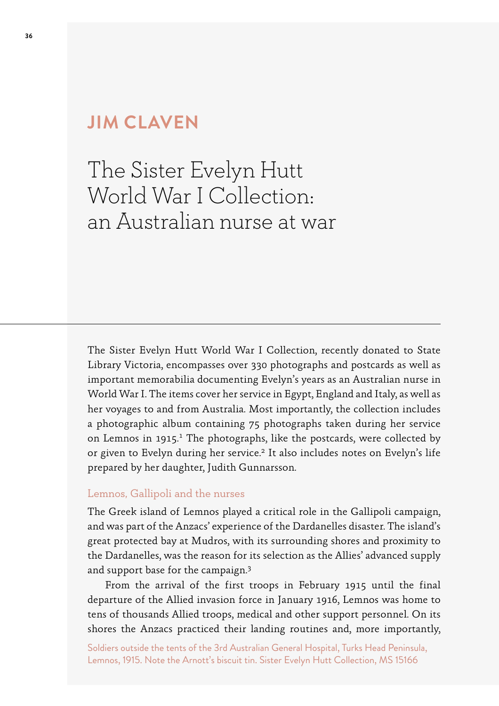# **JIM CLAVEN**

The Sister Evelyn Hutt World War I Collection: an Australian nurse at war

The Sister Evelyn Hutt World War I Collection, recently donated to State Library Victoria, encompasses over 330 photographs and postcards as well as important memorabilia documenting Evelyn's years as an Australian nurse in World War I. The items cover her service in Egypt, England and Italy, as well as her voyages to and from Australia. Most importantly, the collection includes a photographic album containing 75 photographs taken during her service on Lemnos in 1915.<sup>1</sup> The photographs, like the postcards, were collected by or given to Evelyn during her service.2 It also includes notes on Evelyn's life prepared by her daughter, Judith Gunnarsson.

#### Lemnos, Gallipoli and the nurses

The Greek island of Lemnos played a critical role in the Gallipoli campaign, and was part of the Anzacs' experience of the Dardanelles disaster. The island's great protected bay at Mudros, with its surrounding shores and proximity to the Dardanelles, was the reason for its selection as the Allies' advanced supply and support base for the campaign.3

From the arrival of the first troops in February 1915 until the final departure of the Allied invasion force in January 1916, Lemnos was home to tens of thousands Allied troops, medical and other support personnel. On its shores the Anzacs practiced their landing routines and, more importantly,

Soldiers outside the tents of the 3rd Australian General Hospital, Turks Head Peninsula, Lemnos, 1915. Note the Arnott's biscuit tin. Sister Evelyn Hutt Collection, MS 15166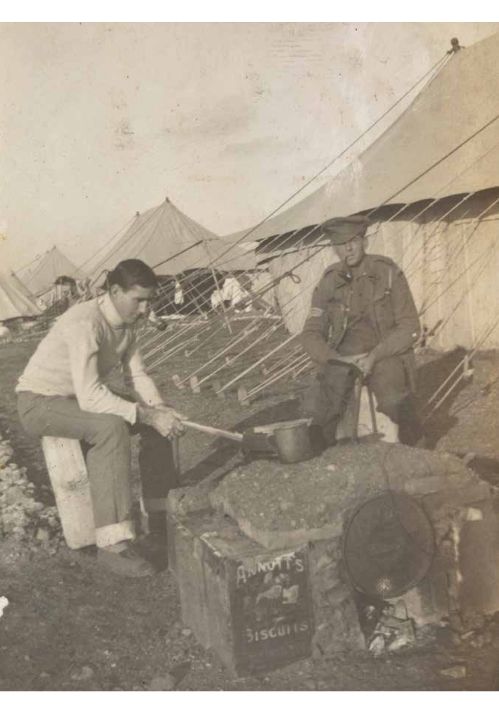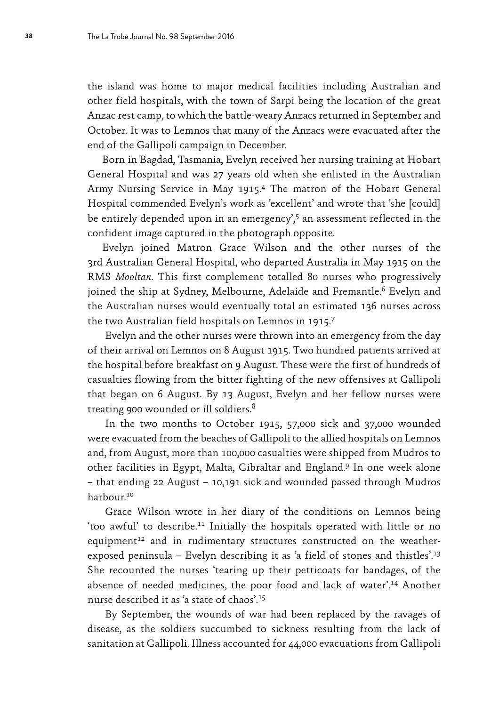the island was home to major medical facilities including Australian and other field hospitals, with the town of Sarpi being the location of the great Anzac rest camp, to which the battle-weary Anzacs returned in September and October. It was to Lemnos that many of the Anzacs were evacuated after the end of the Gallipoli campaign in December.

Born in Bagdad, Tasmania, Evelyn received her nursing training at Hobart General Hospital and was 27 years old when she enlisted in the Australian Army Nursing Service in May 1915.4 The matron of the Hobart General Hospital commended Evelyn's work as 'excellent' and wrote that 'she [could] be entirely depended upon in an emergency<sup>'5</sup> an assessment reflected in the confident image captured in the photograph opposite.

Evelyn joined Matron Grace Wilson and the other nurses of the 3rd Australian General Hospital, who departed Australia in May 1915 on the RMS *Mooltan*. This first complement totalled 80 nurses who progressively joined the ship at Sydney, Melbourne, Adelaide and Fremantle.<sup>6</sup> Evelyn and the Australian nurses would eventually total an estimated 136 nurses across the two Australian field hospitals on Lemnos in 1915.7

Evelyn and the other nurses were thrown into an emergency from the day of their arrival on Lemnos on 8 August 1915. Two hundred patients arrived at the hospital before breakfast on 9 August. These were the first of hundreds of casualties flowing from the bitter fighting of the new offensives at Gallipoli that began on 6 August. By 13 August, Evelyn and her fellow nurses were treating 900 wounded or ill soldiers.8

In the two months to October 1915, 57,000 sick and 37,000 wounded were evacuated from the beaches of Gallipoli to the allied hospitals on Lemnos and, from August, more than 100,000 casualties were shipped from Mudros to other facilities in Egypt, Malta, Gibraltar and England.9 In one week alone – that ending 22 August – 10,191 sick and wounded passed through Mudros harbour.10

Grace Wilson wrote in her diary of the conditions on Lemnos being 'too awful' to describe.<sup>11</sup> Initially the hospitals operated with little or no equipment<sup>12</sup> and in rudimentary structures constructed on the weatherexposed peninsula - Evelyn describing it as 'a field of stones and thistles'.<sup>13</sup> She recounted the nurses 'tearing up their petticoats for bandages, of the absence of needed medicines, the poor food and lack of water'.14 Another nurse described it as 'a state of chaos'.<sup>15</sup>

By September, the wounds of war had been replaced by the ravages of disease, as the soldiers succumbed to sickness resulting from the lack of sanitation at Gallipoli. Illness accounted for 44,000 evacuations from Gallipoli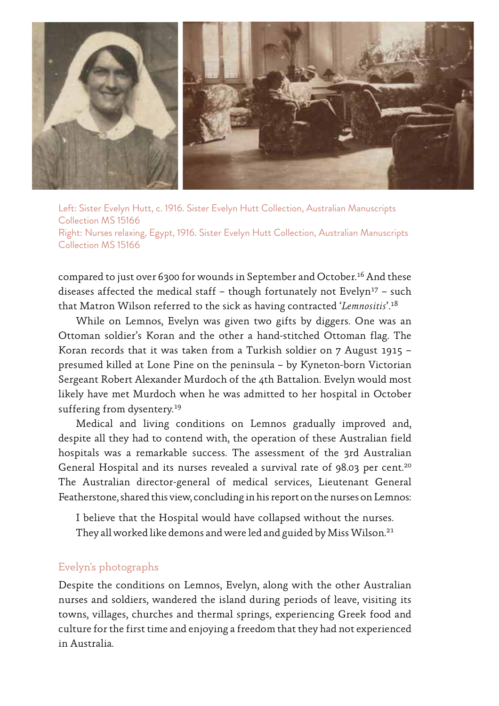

Left: Sister Evelyn Hutt, c. 1916. Sister Evelyn Hutt Collection, Australian Manuscripts Collection MS 15166 Right: Nurses relaxing, Egypt, 1916. Sister Evelyn Hutt Collection, Australian Manuscripts Collection MS 15166

compared to just over 6300 for wounds in September and October.16 And these diseases affected the medical staff – though fortunately not Evelyn<sup>17</sup> – such that Matron Wilson referred to the sick as having contracted '*Lemnositis*'.18

While on Lemnos, Evelyn was given two gifts by diggers. One was an Ottoman soldier's Koran and the other a hand-stitched Ottoman flag. The Koran records that it was taken from a Turkish soldier on 7 August 1915 – presumed killed at Lone Pine on the peninsula – by Kyneton-born Victorian Sergeant Robert Alexander Murdoch of the 4th Battalion. Evelyn would most likely have met Murdoch when he was admitted to her hospital in October suffering from dysentery.<sup>19</sup>

Medical and living conditions on Lemnos gradually improved and, despite all they had to contend with, the operation of these Australian field hospitals was a remarkable success. The assessment of the 3rd Australian General Hospital and its nurses revealed a survival rate of 98.03 per cent.<sup>20</sup> The Australian director-general of medical services, Lieutenant General Featherstone, shared this view, concluding in his report on the nurses on Lemnos:

I believe that the Hospital would have collapsed without the nurses. They all worked like demons and were led and guided by Miss Wilson.<sup>21</sup>

## Evelyn's photographs

Despite the conditions on Lemnos, Evelyn, along with the other Australian nurses and soldiers, wandered the island during periods of leave, visiting its towns, villages, churches and thermal springs, experiencing Greek food and culture for the first time and enjoying a freedom that they had not experienced in Australia.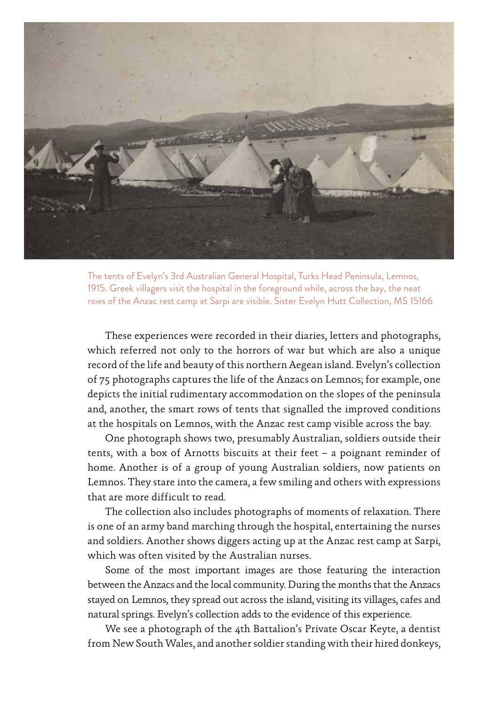

The tents of Evelyn's 3rd Australian General Hospital, Turks Head Peninsula, Lemnos, 1915. Greek villagers visit the hospital in the foreground while, across the bay, the neat rows of the Anzac rest camp at Sarpi are visible. Sister Evelyn Hutt Collection, MS 15166

These experiences were recorded in their diaries, letters and photographs, which referred not only to the horrors of war but which are also a unique record of the life and beauty of this northern Aegean island. Evelyn's collection of 75 photographs captures the life of the Anzacs on Lemnos; for example, one depicts the initial rudimentary accommodation on the slopes of the peninsula and, another, the smart rows of tents that signalled the improved conditions at the hospitals on Lemnos, with the Anzac rest camp visible across the bay.

One photograph shows two, presumably Australian, soldiers outside their tents, with a box of Arnotts biscuits at their feet – a poignant reminder of home. Another is of a group of young Australian soldiers, now patients on Lemnos. They stare into the camera, a few smiling and others with expressions that are more difficult to read.

The collection also includes photographs of moments of relaxation. There is one of an army band marching through the hospital, entertaining the nurses and soldiers. Another shows diggers acting up at the Anzac rest camp at Sarpi, which was often visited by the Australian nurses.

Some of the most important images are those featuring the interaction between the Anzacs and the local community. During the months that the Anzacs stayed on Lemnos, they spread out across the island, visiting its villages, cafes and natural springs. Evelyn's collection adds to the evidence of this experience.

We see a photograph of the 4th Battalion's Private Oscar Keyte, a dentist from New South Wales, and another soldier standing with their hired donkeys,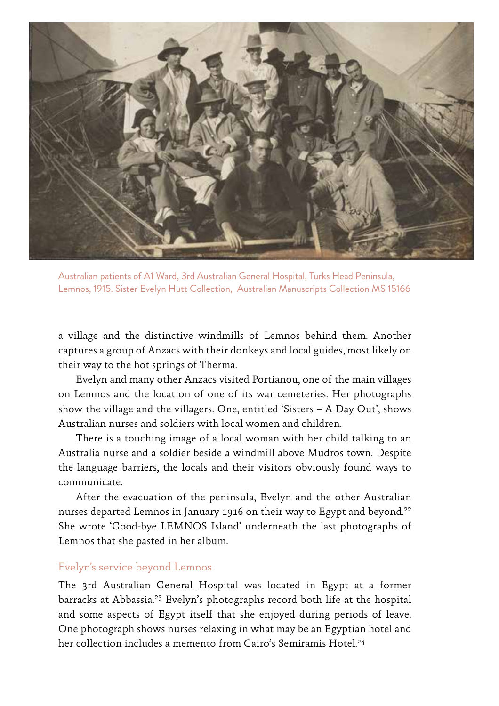

Australian patients of A1 Ward, 3rd Australian General Hospital, Turks Head Peninsula, Lemnos, 1915. Sister Evelyn Hutt Collection, Australian Manuscripts Collection MS 15166

a village and the distinctive windmills of Lemnos behind them. Another captures a group of Anzacs with their donkeys and local guides, most likely on their way to the hot springs of Therma.

Evelyn and many other Anzacs visited Portianou, one of the main villages on Lemnos and the location of one of its war cemeteries. Her photographs show the village and the villagers. One, entitled 'Sisters – A Day Out', shows Australian nurses and soldiers with local women and children.

There is a touching image of a local woman with her child talking to an Australia nurse and a soldier beside a windmill above Mudros town. Despite the language barriers, the locals and their visitors obviously found ways to communicate.

After the evacuation of the peninsula, Evelyn and the other Australian nurses departed Lemnos in January 1916 on their way to Egypt and beyond.<sup>22</sup> She wrote 'Good-bye LEMNOS Island' underneath the last photographs of Lemnos that she pasted in her album.

#### Evelyn's service beyond Lemnos

The 3rd Australian General Hospital was located in Egypt at a former barracks at Abbassia.<sup>23</sup> Evelyn's photographs record both life at the hospital and some aspects of Egypt itself that she enjoyed during periods of leave. One photograph shows nurses relaxing in what may be an Egyptian hotel and her collection includes a memento from Cairo's Semiramis Hotel.<sup>24</sup>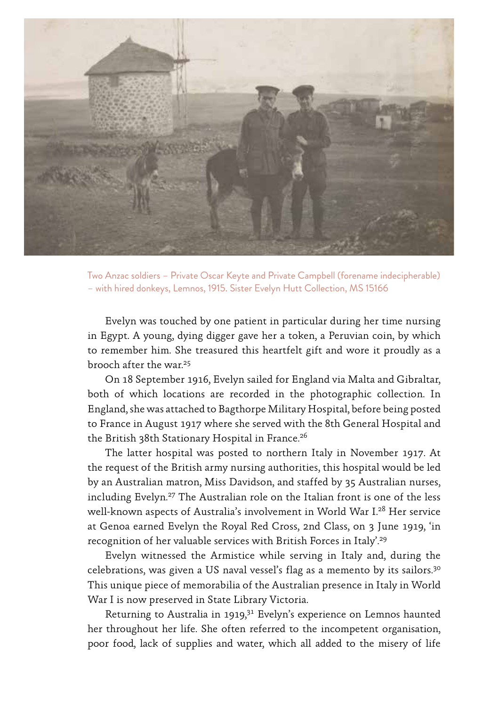

Two Anzac soldiers – Private Oscar Keyte and Private Campbell (forename indecipherable) – with hired donkeys, Lemnos, 1915. Sister Evelyn Hutt Collection, MS 15166

Evelyn was touched by one patient in particular during her time nursing in Egypt. A young, dying digger gave her a token, a Peruvian coin, by which to remember him. She treasured this heartfelt gift and wore it proudly as a brooch after the war.25

On 18 September 1916, Evelyn sailed for England via Malta and Gibraltar, both of which locations are recorded in the photographic collection. In England, she was attached to Bagthorpe Military Hospital, before being posted to France in August 1917 where she served with the 8th General Hospital and the British 38th Stationary Hospital in France.<sup>26</sup>

The latter hospital was posted to northern Italy in November 1917. At the request of the British army nursing authorities, this hospital would be led by an Australian matron, Miss Davidson, and staffed by 35 Australian nurses, including Evelyn.27 The Australian role on the Italian front is one of the less well-known aspects of Australia's involvement in World War I.<sup>28</sup> Her service at Genoa earned Evelyn the Royal Red Cross, 2nd Class, on 3 June 1919, 'in recognition of her valuable services with British Forces in Italy'.29

Evelyn witnessed the Armistice while serving in Italy and, during the celebrations, was given a US naval vessel's flag as a memento by its sailors.30 This unique piece of memorabilia of the Australian presence in Italy in World War I is now preserved in State Library Victoria.

Returning to Australia in 1919,<sup>31</sup> Evelyn's experience on Lemnos haunted her throughout her life. She often referred to the incompetent organisation, poor food, lack of supplies and water, which all added to the misery of life